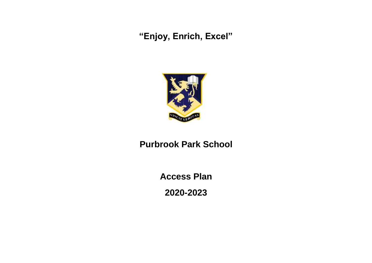**"Enjoy, Enrich, Excel"**



## **Purbrook Park School**

**Access Plan**

**2020-2023**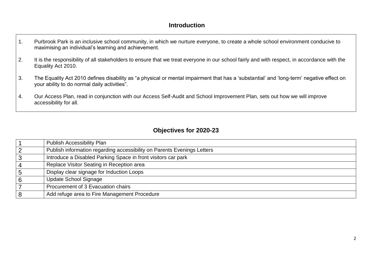## **Introduction**

- 1. Purbrook Park is an inclusive school community, in which we nurture everyone, to create a whole school environment conducive to maximising an individual's learning and achievement.
- 2. It is the responsibility of all stakeholders to ensure that we treat everyone in our school fairly and with respect, in accordance with the Equality Act 2010.
- 3. The Equality Act 2010 defines disability as "a physical or mental impairment that has a 'substantial' and 'long-term' negative effect on your ability to do normal daily activities".
- 4. Our Access Plan, read in conjunction with our Access Self-Audit and School Improvement Plan, sets out how we will improve accessibility for all.

## **Objectives for 2020-23**

|                | <b>Publish Accessibility Plan</b>                                       |
|----------------|-------------------------------------------------------------------------|
| 2              | Publish information regarding accessibility on Parents Evenings Letters |
| 3              | Introduce a Disabled Parking Space in front visitors car park           |
| $\overline{4}$ | Replace Visitor Seating in Reception area                               |
| $5\phantom{1}$ | Display clear signage for Induction Loops                               |
| 6              | Update School Signage                                                   |
|                | Procurement of 3 Evacuation chairs                                      |
| 8              | Add refuge area to Fire Management Procedure                            |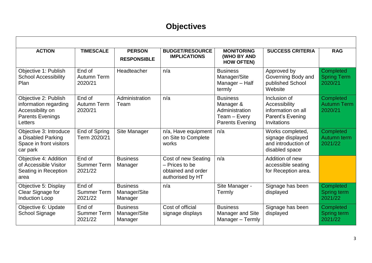## **Objectives**

| <b>ACTION</b>                                                                                           | <b>TIMESCALE</b>                        | <b>PERSON</b><br><b>RESPONSIBLE</b>        | <b>BUDGET/RESOURCE</b><br><b>IMPLICATIONS</b>                                   | <b>MONITORING</b><br>(WHO BY AND<br><b>HOW OFTEN)</b>                                    | <b>SUCCESS CRITERIA</b>                                                                       | <b>RAG</b>                                 |  |  |  |
|---------------------------------------------------------------------------------------------------------|-----------------------------------------|--------------------------------------------|---------------------------------------------------------------------------------|------------------------------------------------------------------------------------------|-----------------------------------------------------------------------------------------------|--------------------------------------------|--|--|--|
| Objective 1: Publish<br><b>School Accessibility</b><br>Plan                                             | End of<br>Autumn Term<br>2020/21        | Headteacher                                | n/a                                                                             | <b>Business</b><br>Manager/Site<br>Manager - Half<br>termly                              | Approved by<br>Governing Body and<br>published School<br>Website                              | Completed<br><b>Spring Term</b><br>2020/21 |  |  |  |
| Objective 2: Publish<br>information regarding<br>Accessibility on<br><b>Parents Evenings</b><br>Letters | End of<br>Autumn Term<br>2020/21        | Administration<br>Team                     | n/a                                                                             | <b>Business</b><br>Manager &<br>Administration<br>Team - Every<br><b>Parents Evening</b> | Inclusion of<br>Accessibility<br>information on all<br><b>Parent's Evening</b><br>Invitations | Completed<br><b>Autumn Term</b><br>2020/21 |  |  |  |
| Objective 3: Introduce<br>a Disabled Parking<br>Space in front visitors<br>car park                     | End of Spring<br>Term 2020/21           | Site Manager                               | n/a, Have equipment<br>on Site to Complete<br>works                             | n/a                                                                                      | Works completed,<br>signage displayed<br>and introduction of<br>disabled space                | Completed<br>Autumn term<br>2021/22        |  |  |  |
| Objective 4: Addition<br>of Accessible Visitor<br>Seating in Reception<br>area                          | End of<br><b>Summer Term</b><br>2021/22 | <b>Business</b><br>Manager                 | Cost of new Seating<br>- Prices to be<br>obtained and order<br>authorised by HT | n/a                                                                                      | Addition of new<br>accessible seating<br>for Reception area.                                  |                                            |  |  |  |
| Objective 5: Display<br>Clear Signage for<br><b>Induction Loop</b>                                      | End of<br><b>Summer Term</b><br>2021/22 | <b>Business</b><br>Manager/Site<br>Manager | n/a                                                                             | Site Manager -<br>Termly                                                                 | Signage has been<br>displayed                                                                 | Completed<br>Spring term<br>2021/22        |  |  |  |
| Objective 6: Update<br>School Signage                                                                   | End of<br><b>Summer Term</b><br>2021/22 | <b>Business</b><br>Manager/Site<br>Manager | Cost of official<br>signage displays                                            | <b>Business</b><br><b>Manager and Site</b><br>Manager - Termly                           | Signage has been<br>displayed                                                                 | Completed<br>Spring term<br>2021/22        |  |  |  |